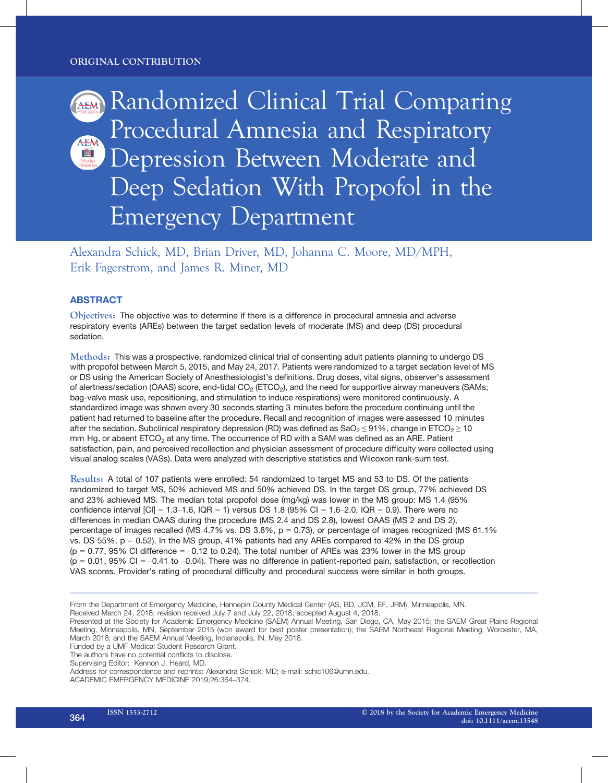Randomized Clinical Trial Comparing Procedural Amnesia and Respiratory Depression Between Moderate and Eal Deep Sedation With Propofol in the Emergency Department

Alexandra Schick, MD, Brian Driver, MD, Johanna C. Moore, MD/MPH, Erik Fagerstrom, and James R. Miner, MD

# ABSTRACT

Objectives: The objective was to determine if there is a difference in procedural amnesia and adverse respiratory events (AREs) between the target sedation levels of moderate (MS) and deep (DS) procedural sedation.

Methods: This was a prospective, randomized clinical trial of consenting adult patients planning to undergo DS with propofol between March 5, 2015, and May 24, 2017. Patients were randomized to a target sedation level of MS or DS using the American Society of Anesthesiologist's definitions. Drug doses, vital signs, observer's assessment of alertness/sedation (OAAS) score, end-tidal CO<sub>2</sub> (ETCO<sub>2</sub>), and the need for supportive airway maneuvers (SAMs; bag-valve mask use, repositioning, and stimulation to induce respirations) were monitored continuously. A standardized image was shown every 30 seconds starting 3 minutes before the procedure continuing until the patient had returned to baseline after the procedure. Recall and recognition of images were assessed 10 minutes after the sedation. Subclinical respiratory depression (RD) was defined as  $SaO<sub>2</sub> \le 91\%$ , change in ETCO<sub>2</sub>  $\ge 10$ mm Hg, or absent ETCO<sub>2</sub> at any time. The occurrence of RD with a SAM was defined as an ARE. Patient satisfaction, pain, and perceived recollection and physician assessment of procedure difficulty were collected using visual analog scales (VASs). Data were analyzed with descriptive statistics and Wilcoxon rank-sum test.

Results: A total of 107 patients were enrolled: 54 randomized to target MS and 53 to DS. Of the patients randomized to target MS, 50% achieved MS and 50% achieved DS. In the target DS group, 77% achieved DS and 23% achieved MS. The median total propofol dose (mg/kg) was lower in the MS group: MS 1.4 (95% confidence interval  $|Cl| = 1.3-1.6$ ,  $|QR = 1\rangle$  versus DS 1.8 (95% CI = 1.6-2.0, IQR = 0.9). There were no differences in median OAAS during the procedure (MS 2.4 and DS 2.8), lowest OAAS (MS 2 and DS 2), percentage of images recalled (MS 4.7% vs. DS 3.8%,  $p = 0.73$ ), or percentage of images recognized (MS 61.1%) vs. DS  $55\%$ ,  $p = 0.52$ ). In the MS group,  $41\%$  patients had any AREs compared to  $42\%$  in the DS group  $(p = 0.77, 95\% \text{ CI difference} = -0.12 \text{ to } 0.24)$ . The total number of AREs was 23% lower in the MS group  $(p = 0.01, 95\% \text{ CI} = -0.41 \text{ to } -0.04)$ . There was no difference in patient-reported pain, satisfaction, or recollection VAS scores. Provider's rating of procedural difficulty and procedural success were similar in both groups.

Funded by a UMF Medical Student Research Grant.

The authors have no potential conflicts to disclose.

ACADEMIC EMERGENCY MEDICINE 2019;26:364–374.

From the Department of Emergency Medicine, Hennepin County Medical Center (AS, BD, JCM, EF, JRM), Minneapolis, MN. Received March 24, 2018; revision received July 7 and July 22, 2018; accepted August 4, 2018.

Presented at the Society for Academic Emergency Medicine (SAEM) Annual Meeting, San Diego, CA, May 2015; the SAEM Great Plains Regional Meeting, Minneapolis, MN, September 2015 (won award for best poster presentation); the SAEM Northeast Regional Meeting, Worcester, MA, March 2018; and the SAEM Annual Meeting, Indianapolis, IN, May 2018.

Supervising Editor: Kennon J. Heard, MD.

Address for correspondence and reprints: Alexandra Schick, MD; e-mail: schic106@umn.edu.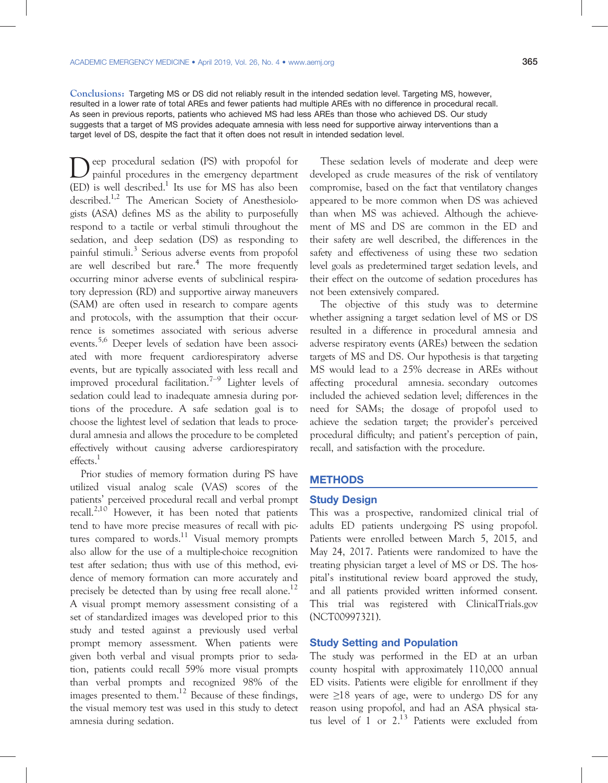Conclusions: Targeting MS or DS did not reliably result in the intended sedation level. Targeting MS, however, resulted in a lower rate of total AREs and fewer patients had multiple AREs with no difference in procedural recall. As seen in previous reports, patients who achieved MS had less AREs than those who achieved DS. Our study suggests that a target of MS provides adequate amnesia with less need for supportive airway interventions than a target level of DS, despite the fact that it often does not result in intended sedation level.

Deep procedural sedation (PS) with propofol for<br>painful procedures in the emergency department  $(ED)$  is well described.<sup>1</sup> Its use for MS has also been described.<sup>1,2</sup> The American Society of Anesthesiologists (ASA) defines MS as the ability to purposefully respond to a tactile or verbal stimuli throughout the sedation, and deep sedation (DS) as responding to painful stimuli.<sup>3</sup> Serious adverse events from propofol are well described but rare.<sup>4</sup> The more frequently occurring minor adverse events of subclinical respiratory depression (RD) and supportive airway maneuvers (SAM) are often used in research to compare agents and protocols, with the assumption that their occurrence is sometimes associated with serious adverse events.5,6 Deeper levels of sedation have been associated with more frequent cardiorespiratory adverse events, but are typically associated with less recall and improved procedural facilitation.<sup>7–9</sup> Lighter levels of sedation could lead to inadequate amnesia during portions of the procedure. A safe sedation goal is to choose the lightest level of sedation that leads to procedural amnesia and allows the procedure to be completed effectively without causing adverse cardiorespiratory effects.<sup>1</sup>

Prior studies of memory formation during PS have utilized visual analog scale (VAS) scores of the patients' perceived procedural recall and verbal prompt recall.<sup>2,10</sup> However, it has been noted that patients tend to have more precise measures of recall with pictures compared to words.<sup>11</sup> Visual memory prompts also allow for the use of a multiple-choice recognition test after sedation; thus with use of this method, evidence of memory formation can more accurately and precisely be detected than by using free recall alone.<sup>12</sup> A visual prompt memory assessment consisting of a set of standardized images was developed prior to this study and tested against a previously used verbal prompt memory assessment. When patients were given both verbal and visual prompts prior to sedation, patients could recall 59% more visual prompts than verbal prompts and recognized 98% of the images presented to them.<sup>12</sup> Because of these findings, the visual memory test was used in this study to detect amnesia during sedation.

These sedation levels of moderate and deep were developed as crude measures of the risk of ventilatory compromise, based on the fact that ventilatory changes appeared to be more common when DS was achieved than when MS was achieved. Although the achievement of MS and DS are common in the ED and their safety are well described, the differences in the safety and effectiveness of using these two sedation level goals as predetermined target sedation levels, and their effect on the outcome of sedation procedures has not been extensively compared.

The objective of this study was to determine whether assigning a target sedation level of MS or DS resulted in a difference in procedural amnesia and adverse respiratory events (AREs) between the sedation targets of MS and DS. Our hypothesis is that targeting MS would lead to a 25% decrease in AREs without affecting procedural amnesia. secondary outcomes included the achieved sedation level; differences in the need for SAMs; the dosage of propofol used to achieve the sedation target; the provider's perceived procedural difficulty; and patient's perception of pain, recall, and satisfaction with the procedure.

## **METHODS**

### Study Design

This was a prospective, randomized clinical trial of adults ED patients undergoing PS using propofol. Patients were enrolled between March 5, 2015, and May 24, 2017. Patients were randomized to have the treating physician target a level of MS or DS. The hospital's institutional review board approved the study, and all patients provided written informed consent. This trial was registered with ClinicalTrials.gov (NCT00997321).

## Study Setting and Population

The study was performed in the ED at an urban county hospital with approximately 110,000 annual ED visits. Patients were eligible for enrollment if they were  $\geq$ 18 years of age, were to undergo DS for any reason using propofol, and had an ASA physical status level of 1 or 2.<sup>13</sup> Patients were excluded from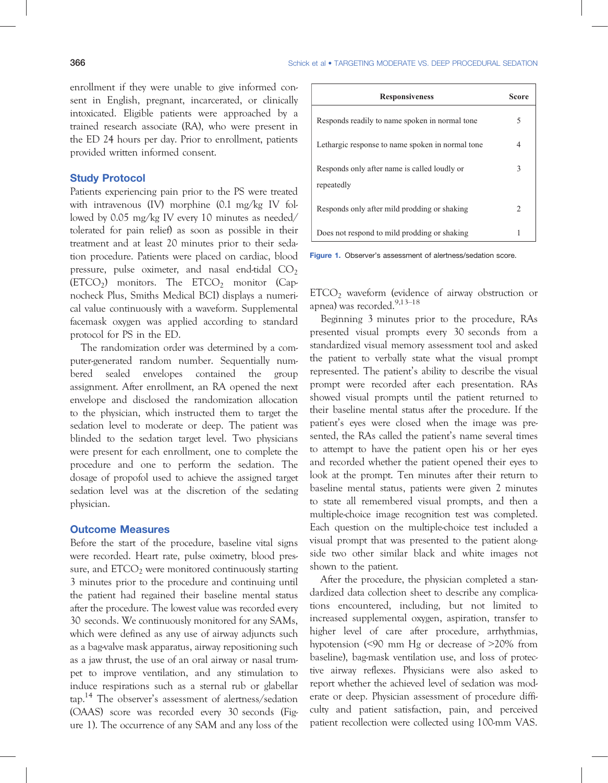enrollment if they were unable to give informed consent in English, pregnant, incarcerated, or clinically intoxicated. Eligible patients were approached by a trained research associate (RA), who were present in the ED 24 hours per day. Prior to enrollment, patients provided written informed consent.

## Study Protocol

Patients experiencing pain prior to the PS were treated with intravenous (IV) morphine (0.1 mg/kg IV followed by 0.05 mg/kg IV every 10 minutes as needed/ tolerated for pain relief) as soon as possible in their treatment and at least 20 minutes prior to their sedation procedure. Patients were placed on cardiac, blood pressure, pulse oximeter, and nasal end-tidal  $CO<sub>2</sub>$  $(ETCO<sub>2</sub>)$  monitors. The  $ETCO<sub>2</sub>$  monitor (Capnocheck Plus, Smiths Medical BCI) displays a numerical value continuously with a waveform. Supplemental facemask oxygen was applied according to standard protocol for PS in the ED.

The randomization order was determined by a computer-generated random number. Sequentially numbered sealed envelopes contained the group assignment. After enrollment, an RA opened the next envelope and disclosed the randomization allocation to the physician, which instructed them to target the sedation level to moderate or deep. The patient was blinded to the sedation target level. Two physicians were present for each enrollment, one to complete the procedure and one to perform the sedation. The dosage of propofol used to achieve the assigned target sedation level was at the discretion of the sedating physician.

# Outcome Measures

Before the start of the procedure, baseline vital signs were recorded. Heart rate, pulse oximetry, blood pressure, and  $ETCO<sub>2</sub>$  were monitored continuously starting 3 minutes prior to the procedure and continuing until the patient had regained their baseline mental status after the procedure. The lowest value was recorded every 30 seconds. We continuously monitored for any SAMs, which were defined as any use of airway adjuncts such as a bag-valve mask apparatus, airway repositioning such as a jaw thrust, the use of an oral airway or nasal trumpet to improve ventilation, and any stimulation to induce respirations such as a sternal rub or glabellar tap.14 The observer's assessment of alertness/sedation (OAAS) score was recorded every 30 seconds (Figure 1). The occurrence of any SAM and any loss of the

| <b>Responsiveness</b>                                      | Score |
|------------------------------------------------------------|-------|
| Responds readily to name spoken in normal tone             | 5     |
| Lethargic response to name spoken in normal tone           |       |
| Responds only after name is called loudly or<br>repeatedly | 3     |
| Responds only after mild prodding or shaking               |       |
| Does not respond to mild prodding or shaking               |       |

Figure 1. Observer's assessment of alertness/sedation score.

 $ETCO<sub>2</sub>$  waveform (evidence of airway obstruction or apnea) was recorded.<sup>9,13-18</sup>

Beginning 3 minutes prior to the procedure, RAs presented visual prompts every 30 seconds from a standardized visual memory assessment tool and asked the patient to verbally state what the visual prompt represented. The patient's ability to describe the visual prompt were recorded after each presentation. RAs showed visual prompts until the patient returned to their baseline mental status after the procedure. If the patient's eyes were closed when the image was presented, the RAs called the patient's name several times to attempt to have the patient open his or her eyes and recorded whether the patient opened their eyes to look at the prompt. Ten minutes after their return to baseline mental status, patients were given 2 minutes to state all remembered visual prompts, and then a multiple-choice image recognition test was completed. Each question on the multiple-choice test included a visual prompt that was presented to the patient alongside two other similar black and white images not shown to the patient.

After the procedure, the physician completed a standardized data collection sheet to describe any complications encountered, including, but not limited to increased supplemental oxygen, aspiration, transfer to higher level of care after procedure, arrhythmias, hypotension (<90 mm Hg or decrease of >20% from baseline), bag-mask ventilation use, and loss of protective airway reflexes. Physicians were also asked to report whether the achieved level of sedation was moderate or deep. Physician assessment of procedure difficulty and patient satisfaction, pain, and perceived patient recollection were collected using 100-mm VAS.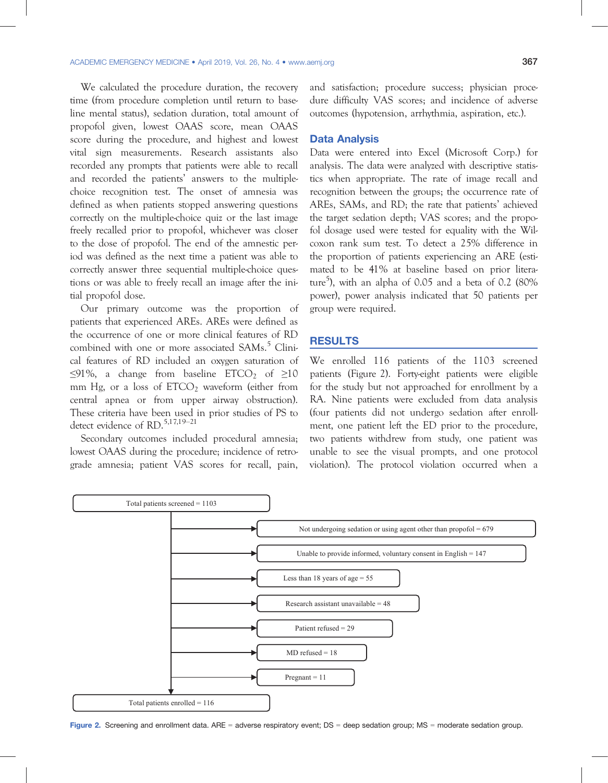We calculated the procedure duration, the recovery time (from procedure completion until return to baseline mental status), sedation duration, total amount of propofol given, lowest OAAS score, mean OAAS score during the procedure, and highest and lowest vital sign measurements. Research assistants also recorded any prompts that patients were able to recall and recorded the patients' answers to the multiplechoice recognition test. The onset of amnesia was defined as when patients stopped answering questions correctly on the multiple-choice quiz or the last image freely recalled prior to propofol, whichever was closer to the dose of propofol. The end of the amnestic period was defined as the next time a patient was able to correctly answer three sequential multiple-choice questions or was able to freely recall an image after the initial propofol dose.

Our primary outcome was the proportion of patients that experienced AREs. AREs were defined as the occurrence of one or more clinical features of RD combined with one or more associated SAMs.<sup>5</sup> Clinical features of RD included an oxygen saturation of  $\leq$ 91%, a change from baseline ETCO<sub>2</sub> of  $\geq$ 10 mm Hg, or a loss of  $ETCO<sub>2</sub>$  waveform (either from central apnea or from upper airway obstruction). These criteria have been used in prior studies of PS to detect evidence of RD.<sup>5,17,19–21</sup>

Secondary outcomes included procedural amnesia; lowest OAAS during the procedure; incidence of retrograde amnesia; patient VAS scores for recall, pain,

and satisfaction; procedure success; physician procedure difficulty VAS scores; and incidence of adverse outcomes (hypotension, arrhythmia, aspiration, etc.).

#### Data Analysis

Data were entered into Excel (Microsoft Corp.) for analysis. The data were analyzed with descriptive statistics when appropriate. The rate of image recall and recognition between the groups; the occurrence rate of AREs, SAMs, and RD; the rate that patients' achieved the target sedation depth; VAS scores; and the propofol dosage used were tested for equality with the Wilcoxon rank sum test. To detect a 25% difference in the proportion of patients experiencing an ARE (estimated to be 41% at baseline based on prior literature<sup>5</sup>), with an alpha of 0.05 and a beta of 0.2 (80% power), power analysis indicated that 50 patients per group were required.

## RESULTS

We enrolled 116 patients of the 1103 screened patients (Figure 2). Forty-eight patients were eligible for the study but not approached for enrollment by a RA. Nine patients were excluded from data analysis (four patients did not undergo sedation after enrollment, one patient left the ED prior to the procedure, two patients withdrew from study, one patient was unable to see the visual prompts, and one protocol violation). The protocol violation occurred when a

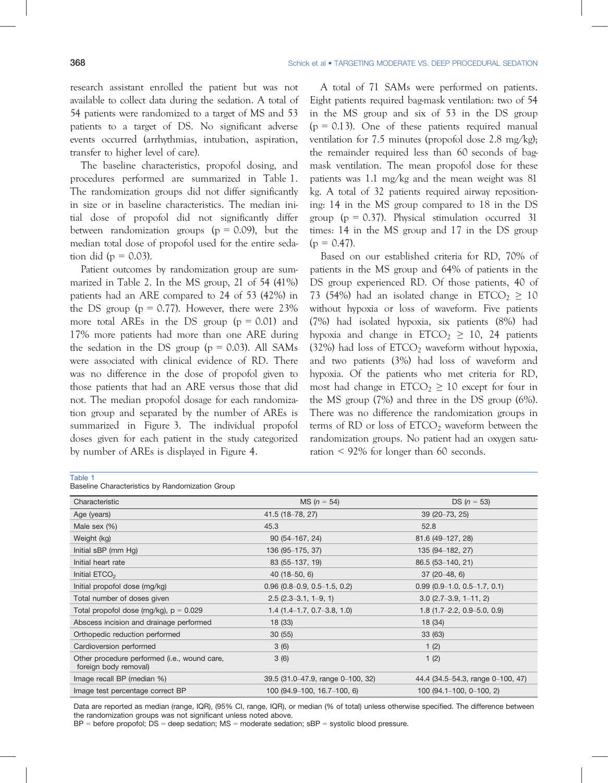research assistant enrolled the patient but was not available to collect data during the sedation. A total of 54 patients were randomized to a target of MS and 53 patients to a target of DS. No significant adverse events occurred (arrhythmias, intubation, aspiration, transfer to higher level of care).

The baseline characteristics, propofol dosing, and procedures performed are summarized in Table 1. The randomization groups did not differ significantly in size or in baseline characteristics. The median initial dose of propofol did not significantly differ between randomization groups ( $p = 0.09$ ), but the median total dose of propofol used for the entire sedation did ( $p = 0.03$ ).

Patient outcomes by randomization group are summarized in Table 2. In the MS group, 21 of 54 (41%) patients had an ARE compared to 24 of 53 (42%) in the DS group ( $p = 0.77$ ). However, there were 23% more total AREs in the DS group  $(p = 0.01)$  and 17% more patients had more than one ARE during the sedation in the DS group  $(p = 0.03)$ . All SAMs were associated with clinical evidence of RD. There was no difference in the dose of propofol given to those patients that had an ARE versus those that did not. The median propofol dosage for each randomization group and separated by the number of AREs is summarized in Figure 3. The individual propofol doses given for each patient in the study categorized by number of AREs is displayed in Figure 4.

A total of 71 SAMs were performed on patients. Eight patients required bag-mask ventilation: two of 54 in the MS group and six of 53 in the DS group  $(p = 0.13)$ . One of these patients required manual ventilation for 7.5 minutes (propofol dose 2.8 mg/kg); the remainder required less than 60 seconds of bagmask ventilation. The mean propofol dose for these patients was 1.1 mg/kg and the mean weight was 81 kg. A total of 32 patients required airway repositioning: 14 in the MS group compared to 18 in the DS group ( $p = 0.37$ ). Physical stimulation occurred 31 times: 14 in the MS group and 17 in the DS group  $(p = 0.47)$ .

Based on our established criteria for RD, 70% of patients in the MS group and 64% of patients in the DS group experienced RD. Of those patients, 40 of 73 (54%) had an isolated change in  $ETCO<sub>2</sub> \ge 10$ without hypoxia or loss of waveform. Five patients (7%) had isolated hypoxia, six patients (8%) had hypoxia and change in ETCO<sub>2</sub>  $\geq$  10, 24 patients (32%) had loss of  $ETCO<sub>2</sub>$  waveform without hypoxia, and two patients (3%) had loss of waveform and hypoxia. Of the patients who met criteria for RD, most had change in  $ETCO<sub>2</sub> \ge 10$  except for four in the MS group (7%) and three in the DS group (6%). There was no difference the randomization groups in terms of RD or loss of  $ETCO<sub>2</sub>$  waveform between the randomization groups. No patient had an oxygen saturation < 92% for longer than 60 seconds.

| × | . | ۰. |  |
|---|---|----|--|

Baseline Characteristics by Randomization Group

| Characteristic                                                        | $MS (n = 54)$                     | DS ( $n = 53$ )                   |
|-----------------------------------------------------------------------|-----------------------------------|-----------------------------------|
| Age (years)                                                           | 41.5 (18-78, 27)                  | $39(20 - 73, 25)$                 |
| Male sex $(\%)$                                                       | 45.3                              | 52.8                              |
| Weight (kg)                                                           | $90(54-167, 24)$                  | 81.6 (49–127, 28)                 |
| Initial sBP (mm Hg)                                                   | 136 (95-175, 37)                  | 135 (94-182, 27)                  |
| Initial heart rate                                                    | 83 (55-137, 19)                   | 86.5 (53-140, 21)                 |
| Initial $ETCO2$                                                       | $40(18 - 50, 6)$                  | $37(20-48, 6)$                    |
| Initial propofol dose (mg/kg)                                         | $0.96$ (0.8-0.9, 0.5-1.5, 0.2)    | $0.99$ (0.9-1.0, 0.5-1.7, 0.1)    |
| Total number of doses given                                           | $2.5$ ( $2.3-3.1$ , $1-9$ , 1)    | $3.0$ (2.7–3.9, 1–11, 2)          |
| Total propofol dose (mg/kg), $p = 0.029$                              | $1.4$ (1.4–1.7, 0.7–3.8, 1.0)     | 1.8 $(1.7-2.2, 0.9-5.0, 0.9)$     |
| Abscess incision and drainage performed                               | 18(33)                            | 18 (34)                           |
| Orthopedic reduction performed                                        | 30(55)                            | 33 (63)                           |
| Cardioversion performed                                               | 3(6)                              | 1(2)                              |
| Other procedure performed (i.e., wound care,<br>foreign body removal) | 3(6)                              | 1(2)                              |
| Image recall BP (median %)                                            | 39.5 (31.0–47.9, range 0–100, 32) | 44.4 (34.5–54.3, range 0–100, 47) |
| Image test percentage correct BP                                      | 100 (94.9–100, 16.7–100, 6)       | 100 (94.1 $-100$ , 0 $-100$ , 2)  |

Data are reported as median (range, IQR), (95% CI, range, IQR), or median (% of total) unless otherwise specified. The difference between the randomization groups was not significant unless noted above.

 $BP =$  before propofol;  $DS =$  deep sedation;  $MS =$  moderate sedation;  $sBP =$  systolic blood pressure.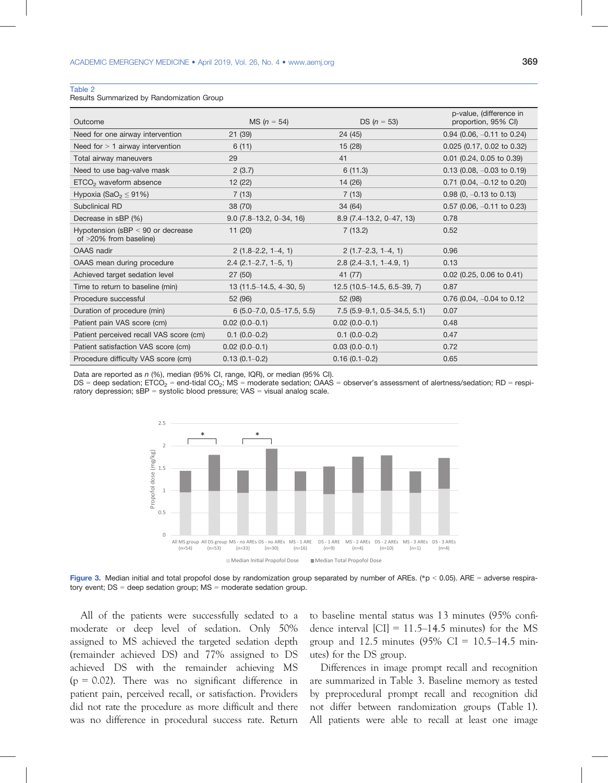#### Table 2

Results Summarized by Randomization Group

| Outcome                                                       | MS $(n = 54)$                   | DS $(n = 53)$                  | p-value, (difference in<br>proportion, 95% CI) |
|---------------------------------------------------------------|---------------------------------|--------------------------------|------------------------------------------------|
| Need for one airway intervention                              | 21(39)                          | 24 (45)                        | $0.94$ (0.06, $-0.11$ to 0.24)                 |
| Need for $> 1$ airway intervention                            | 6(11)                           | 15(28)                         | 0.025 (0.17, 0.02 to 0.32)                     |
| Total airway maneuvers                                        | 29                              | 41                             | $0.01$ (0.24, 0.05 to 0.39)                    |
| Need to use bag-valve mask                                    | 2(3.7)                          | 6(11.3)                        | $0.13$ (0.08, $-0.03$ to 0.19)                 |
| ETCO <sub>2</sub> waveform absence                            | 12(22)                          | 14(26)                         | $0.71$ (0.04, $-0.12$ to 0.20)                 |
| Hypoxia (SaO <sub>2</sub> $\leq$ 91%)                         | 7(13)                           | 7(13)                          | $0.98$ (0, $-0.13$ to 0.13)                    |
| Subclinical RD                                                | 38 (70)                         | 34 (64)                        | $0.57$ (0.06, $-0.11$ to 0.23)                 |
| Decrease in sBP (%)                                           | $9.0(7.8-13.2, 0-34, 16)$       | $8.9(7.4-13.2, 0-47, 13)$      | 0.78                                           |
| Hypotension (sBP $<$ 90 or decrease<br>of >20% from baseline) | 11(20)                          | 7(13.2)                        | 0.52                                           |
| <b>OAAS</b> nadir                                             | $2(1.8-2.2, 1-4, 1)$            | $2(1.7-2.3, 1-4, 1)$           | 0.96                                           |
| OAAS mean during procedure                                    | $2.4$ (2.1–2.7, 1–5, 1)         | $2.8$ (2.4–3.1, 1–4.9, 1)      | 0.13                                           |
| Achieved target sedation level                                | 27(50)                          | 41 (77)                        | $0.02$ (0.25, 0.06 to 0.41)                    |
| Time to return to baseline (min)                              | $13(11.5-14.5, 4-30, 5)$        | $12.5(10.5-14.5, 6.5-39, 7)$   | 0.87                                           |
| Procedure successful                                          | 52 (96)                         | 52 (98)                        | 0.76 (0.04, $-0.04$ to 0.12                    |
| Duration of procedure (min)                                   | $6(5.0 - 7.0, 0.5 - 17.5, 5.5)$ | $7.5$ (5.9–9.1, 0.5–34.5, 5.1) | 0.07                                           |
| Patient pain VAS score (cm)                                   | $0.02(0.0-0.1)$                 | $0.02(0.0-0.1)$                | 0.48                                           |
| Patient perceived recall VAS score (cm)                       | $0.1(0.0-0.2)$                  | $0.1(0.0-0.2)$                 | 0.47                                           |
| Patient satisfaction VAS score (cm)                           | $0.02(0.0-0.1)$                 | $0.03(0.0-0.1)$                | 0.72                                           |
| Procedure difficulty VAS score (cm)                           | $0.13(0.1 - 0.2)$               | $0.16(0.1 - 0.2)$              | 0.65                                           |

Data are reported as n (%), median (95% CI, range, IQR), or median (95% CI).

 $DS =$  deep sedation;  $ETCO_2 =$  end-tidal  $CO_2$ ;  $MS =$  moderate sedation;  $OAAS =$  observer's assessment of alertness/sedation; RD = respiratory depression;  $sBP =$  systolic blood pressure;  $VAS =$  visual analog scale.



Figure 3. Median initial and total propofol dose by randomization group separated by number of AREs. (\*p < 0.05). ARE = adverse respiratory event;  $DS = deep$  sedation group;  $MS =$  moderate sedation group.

All of the patients were successfully sedated to a moderate or deep level of sedation. Only 50% assigned to MS achieved the targeted sedation depth (remainder achieved DS) and 77% assigned to DS achieved DS with the remainder achieving MS  $(p = 0.02)$ . There was no significant difference in patient pain, perceived recall, or satisfaction. Providers did not rate the procedure as more difficult and there was no difference in procedural success rate. Return to baseline mental status was 13 minutes (95% confidence interval  $\text{[CI]} = 11.5 \text{--} 14.5$  minutes) for the MS group and 12.5 minutes  $(95\% \text{ CI} = 10.5-14.5 \text{ min}$ utes) for the DS group.

Differences in image prompt recall and recognition are summarized in Table 3. Baseline memory as tested by preprocedural prompt recall and recognition did not differ between randomization groups (Table 1). All patients were able to recall at least one image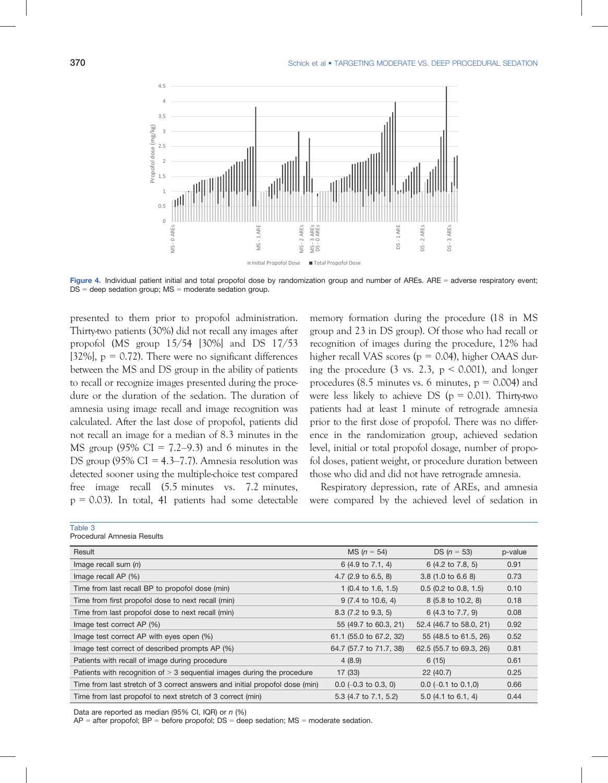

Figure 4. Individual patient initial and total propofol dose by randomization group and number of AREs. ARE = adverse respiratory event;  $DS = deep$  sedation group;  $MS =$  moderate sedation group.

presented to them prior to propofol administration. Thirty-two patients (30%) did not recall any images after propofol (MS group 15/54 [30%] and DS 17/53 [32%],  $p = 0.72$ ). There were no significant differences between the MS and DS group in the ability of patients to recall or recognize images presented during the procedure or the duration of the sedation. The duration of amnesia using image recall and image recognition was calculated. After the last dose of propofol, patients did not recall an image for a median of 8.3 minutes in the MS group  $(95\% \text{ CI} = 7.2-9.3)$  and 6 minutes in the DS group (95% CI = 4.3–7.7). Amnesia resolution was detected sooner using the multiple-choice test compared free image recall (5.5 minutes vs. 7.2 minutes,  $p = 0.03$ ). In total, 41 patients had some detectable

memory formation during the procedure (18 in MS group and 23 in DS group). Of those who had recall or recognition of images during the procedure, 12% had higher recall VAS scores ( $p = 0.04$ ), higher OAAS during the procedure (3 vs. 2.3,  $p < 0.001$ ), and longer procedures (8.5 minutes vs. 6 minutes,  $p = 0.004$ ) and were less likely to achieve DS ( $p = 0.01$ ). Thirty-two patients had at least 1 minute of retrograde amnesia prior to the first dose of propofol. There was no difference in the randomization group, achieved sedation level, initial or total propofol dosage, number of propofol doses, patient weight, or procedure duration between those who did and did not have retrograde amnesia.

Respiratory depression, rate of AREs, and amnesia were compared by the achieved level of sedation in

| Procedural Amnesia Results                                                  |                                |                                |         |
|-----------------------------------------------------------------------------|--------------------------------|--------------------------------|---------|
| Result                                                                      | $MS (n = 54)$                  | $DS (n = 53)$                  | p-value |
| Image recall sum $(n)$                                                      | 6 (4.9 to 7.1, 4)              | 6 (4.2 to 7.8, 5)              | 0.91    |
| Image recall AP (%)                                                         | 4.7 $(2.9 \text{ to } 6.5, 8)$ | 3.8 (1.0 to 6.6 8)             | 0.73    |
| Time from last recall BP to propofol dose (min)                             | 1 $(0.4 \text{ to } 1.6, 1.5)$ | $0.5$ (0.2 to 0.8, 1.5)        | 0.10    |
| Time from first propofol dose to next recall (min)                          | 9 (7.4 to 10.6, 4)             | 8 (5.8 to 10.2, 8)             | 0.18    |
| Time from last propofol dose to next recall (min)                           | 8.3 (7.2 to 9.3, 5)            | 6 (4.3 to 7.7, 9)              | 0.08    |
| Image test correct AP (%)                                                   | 55 (49.7 to 60.3, 21)          | 52.4 (46.7 to 58.0, 21)        | 0.92    |
| Image test correct AP with eyes open (%)                                    | 61.1 (55.0 to 67.2, 32)        | 55 (48.5 to 61.5, 26)          | 0.52    |
| Image test correct of described prompts AP (%)                              | 64.7 (57.7 to 71.7, 38)        | 62.5 (55.7 to 69.3, 26)        | 0.81    |
| Patients with recall of image during procedure                              | 4(8.9)                         | 6(15)                          | 0.61    |
| Patients with recognition of $>$ 3 sequential images during the procedure   | 17(33)                         | 22(40.7)                       | 0.25    |
| Time from last stretch of 3 correct answers and initial propofol dose (min) | $0.0$ (-0.3 to 0.3, 0)         | $0.0$ (-0.1 to 0.1,0)          | 0.66    |
| Time from last propofol to next stretch of 3 correct (min)                  | 5.3 (4.7 to 7.1, 5.2)          | 5.0 $(4.1 \text{ to } 6.1, 4)$ | 0.44    |

Data are reported as median (95% CI, IQR) or n (%)

 $AP =$  after propofol;  $BP =$  before propofol;  $DS =$  deep sedation;  $MS =$  moderate sedation.

Table 3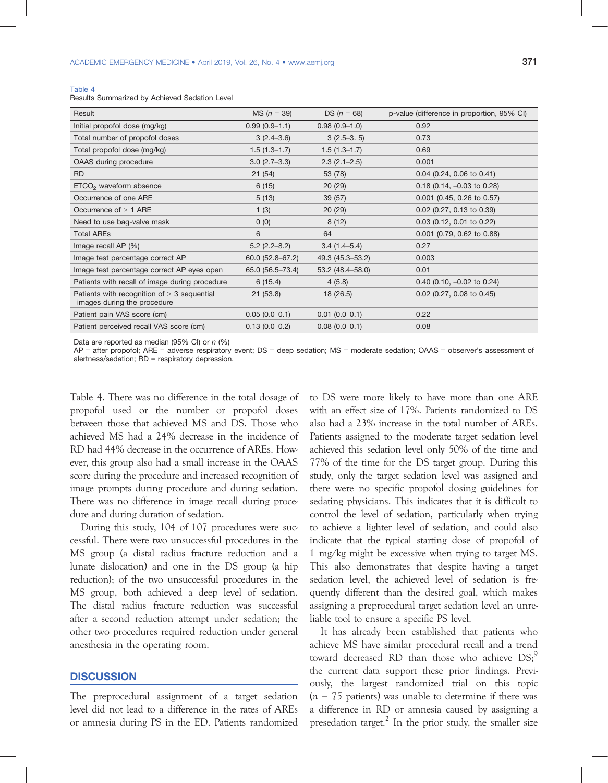#### Table 4

Results Summarized by Achieved Sedation Level

| Result                                                                       | $MS (n = 39)$      | DS ( $n = 68$ )       | p-value (difference in proportion, 95% CI) |
|------------------------------------------------------------------------------|--------------------|-----------------------|--------------------------------------------|
| Initial propofol dose (mg/kg)                                                | $0.99(0.9-1.1)$    | $0.98(0.9-1.0)$       | 0.92                                       |
| Total number of propofol doses                                               | $3(2.4-3.6)$       | $3(2.5-3.5)$          | 0.73                                       |
| Total propofol dose (mg/kg)                                                  | $1.5(1.3-1.7)$     | $1.5(1.3-1.7)$        | 0.69                                       |
| OAAS during procedure                                                        | $3.0(2.7-3.3)$     | $2.3$ ( $2.1 - 2.5$ ) | 0.001                                      |
| <b>RD</b>                                                                    | 21(54)             | 53 (78)               | $0.04$ (0.24, 0.06 to 0.41)                |
| $ETCO2$ waveform absence                                                     | 6(15)              | 20(29)                | $0.18$ (0.14, $-0.03$ to 0.28)             |
| Occurrence of one ARE                                                        | 5(13)              | 39(57)                | $0.001$ (0.45, 0.26 to 0.57)               |
| Occurrence of $> 1$ ARE                                                      | 1(3)               | 20(29)                | $0.02$ (0.27, 0.13 to 0.39)                |
| Need to use bag-valve mask                                                   | 0(0)               | 8(12)                 | $0.03$ (0.12, 0.01 to 0.22)                |
| <b>Total AREs</b>                                                            | 6                  | 64                    | 0.001 (0.79, 0.62 to 0.88)                 |
| Image recall AP (%)                                                          | $5.2$ (2.2–8.2)    | $3.4(1.4 - 5.4)$      | 0.27                                       |
| Image test percentage correct AP                                             | $60.0$ (52.8-67.2) | 49.3 (45.3–53.2)      | 0.003                                      |
| Image test percentage correct AP eyes open                                   | 65.0 (56.5–73.4)   | $53.2(48.4 - 58.0)$   | 0.01                                       |
| Patients with recall of image during procedure                               | 6(15.4)            | 4(5.8)                | $0.40$ (0.10, $-0.02$ to 0.24)             |
| Patients with recognition of $>$ 3 sequential<br>images during the procedure | 21(53.8)           | 18(26.5)              | $0.02$ (0.27, 0.08 to 0.45)                |
| Patient pain VAS score (cm)                                                  | $0.05(0.0-0.1)$    | $0.01(0.0-0.1)$       | 0.22                                       |
| Patient perceived recall VAS score (cm)                                      | $0.13(0.0-0.2)$    | $0.08(0.0-0.1)$       | 0.08                                       |

Data are reported as median (95% CI) or  $n$  (%)

AP = after propofol; ARE = adverse respiratory event; DS = deep sedation; MS = moderate sedation; OAAS = observer's assessment of alertness/sedation; RD = respiratory depression.

Table 4. There was no difference in the total dosage of propofol used or the number or propofol doses between those that achieved MS and DS. Those who achieved MS had a 24% decrease in the incidence of RD had 44% decrease in the occurrence of AREs. However, this group also had a small increase in the OAAS score during the procedure and increased recognition of image prompts during procedure and during sedation. There was no difference in image recall during procedure and during duration of sedation.

During this study, 104 of 107 procedures were successful. There were two unsuccessful procedures in the MS group (a distal radius fracture reduction and a lunate dislocation) and one in the DS group (a hip reduction); of the two unsuccessful procedures in the MS group, both achieved a deep level of sedation. The distal radius fracture reduction was successful after a second reduction attempt under sedation; the other two procedures required reduction under general anesthesia in the operating room.

## **DISCUSSION**

The preprocedural assignment of a target sedation level did not lead to a difference in the rates of AREs or amnesia during PS in the ED. Patients randomized to DS were more likely to have more than one ARE with an effect size of 17%. Patients randomized to DS also had a 23% increase in the total number of AREs. Patients assigned to the moderate target sedation level achieved this sedation level only 50% of the time and 77% of the time for the DS target group. During this study, only the target sedation level was assigned and there were no specific propofol dosing guidelines for sedating physicians. This indicates that it is difficult to control the level of sedation, particularly when trying to achieve a lighter level of sedation, and could also indicate that the typical starting dose of propofol of 1 mg/kg might be excessive when trying to target MS. This also demonstrates that despite having a target sedation level, the achieved level of sedation is frequently different than the desired goal, which makes assigning a preprocedural target sedation level an unreliable tool to ensure a specific PS level.

It has already been established that patients who achieve MS have similar procedural recall and a trend toward decreased RD than those who achieve  $DS<sub>i</sub><sup>9</sup>$ the current data support these prior findings. Previously, the largest randomized trial on this topic  $(n = 75$  patients) was unable to determine if there was a difference in RD or amnesia caused by assigning a presedation target.<sup>2</sup> In the prior study, the smaller size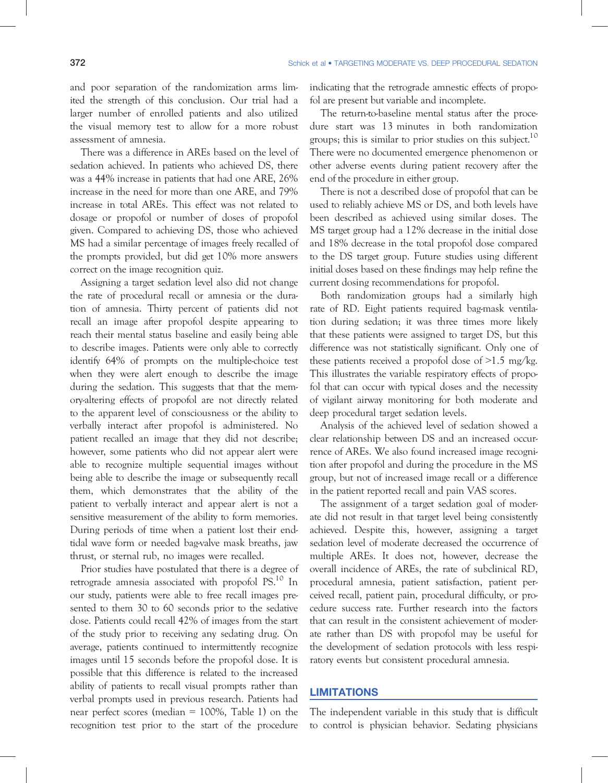and poor separation of the randomization arms limited the strength of this conclusion. Our trial had a larger number of enrolled patients and also utilized the visual memory test to allow for a more robust assessment of amnesia.

There was a difference in AREs based on the level of sedation achieved. In patients who achieved DS, there was a 44% increase in patients that had one ARE, 26% increase in the need for more than one ARE, and 79% increase in total AREs. This effect was not related to dosage or propofol or number of doses of propofol given. Compared to achieving DS, those who achieved MS had a similar percentage of images freely recalled of the prompts provided, but did get 10% more answers correct on the image recognition quiz.

Assigning a target sedation level also did not change the rate of procedural recall or amnesia or the duration of amnesia. Thirty percent of patients did not recall an image after propofol despite appearing to reach their mental status baseline and easily being able to describe images. Patients were only able to correctly identify 64% of prompts on the multiple-choice test when they were alert enough to describe the image during the sedation. This suggests that that the memory-altering effects of propofol are not directly related to the apparent level of consciousness or the ability to verbally interact after propofol is administered. No patient recalled an image that they did not describe; however, some patients who did not appear alert were able to recognize multiple sequential images without being able to describe the image or subsequently recall them, which demonstrates that the ability of the patient to verbally interact and appear alert is not a sensitive measurement of the ability to form memories. During periods of time when a patient lost their endtidal wave form or needed bag-valve mask breaths, jaw thrust, or sternal rub, no images were recalled.

Prior studies have postulated that there is a degree of retrograde amnesia associated with propofol PS.<sup>10</sup> In our study, patients were able to free recall images presented to them 30 to 60 seconds prior to the sedative dose. Patients could recall 42% of images from the start of the study prior to receiving any sedating drug. On average, patients continued to intermittently recognize images until 15 seconds before the propofol dose. It is possible that this difference is related to the increased ability of patients to recall visual prompts rather than verbal prompts used in previous research. Patients had near perfect scores (median = 100%, Table 1) on the recognition test prior to the start of the procedure

indicating that the retrograde amnestic effects of propofol are present but variable and incomplete.

The return-to-baseline mental status after the procedure start was 13 minutes in both randomization groups; this is similar to prior studies on this subject.<sup>10</sup> There were no documented emergence phenomenon or other adverse events during patient recovery after the end of the procedure in either group.

There is not a described dose of propofol that can be used to reliably achieve MS or DS, and both levels have been described as achieved using similar doses. The MS target group had a 12% decrease in the initial dose and 18% decrease in the total propofol dose compared to the DS target group. Future studies using different initial doses based on these findings may help refine the current dosing recommendations for propofol.

Both randomization groups had a similarly high rate of RD. Eight patients required bag-mask ventilation during sedation; it was three times more likely that these patients were assigned to target DS, but this difference was not statistically significant. Only one of these patients received a propofol dose of  $>1.5$  mg/kg. This illustrates the variable respiratory effects of propofol that can occur with typical doses and the necessity of vigilant airway monitoring for both moderate and deep procedural target sedation levels.

Analysis of the achieved level of sedation showed a clear relationship between DS and an increased occurrence of AREs. We also found increased image recognition after propofol and during the procedure in the MS group, but not of increased image recall or a difference in the patient reported recall and pain VAS scores.

The assignment of a target sedation goal of moderate did not result in that target level being consistently achieved. Despite this, however, assigning a target sedation level of moderate decreased the occurrence of multiple AREs. It does not, however, decrease the overall incidence of AREs, the rate of subclinical RD, procedural amnesia, patient satisfaction, patient perceived recall, patient pain, procedural difficulty, or procedure success rate. Further research into the factors that can result in the consistent achievement of moderate rather than DS with propofol may be useful for the development of sedation protocols with less respiratory events but consistent procedural amnesia.

# LIMITATIONS

The independent variable in this study that is difficult to control is physician behavior. Sedating physicians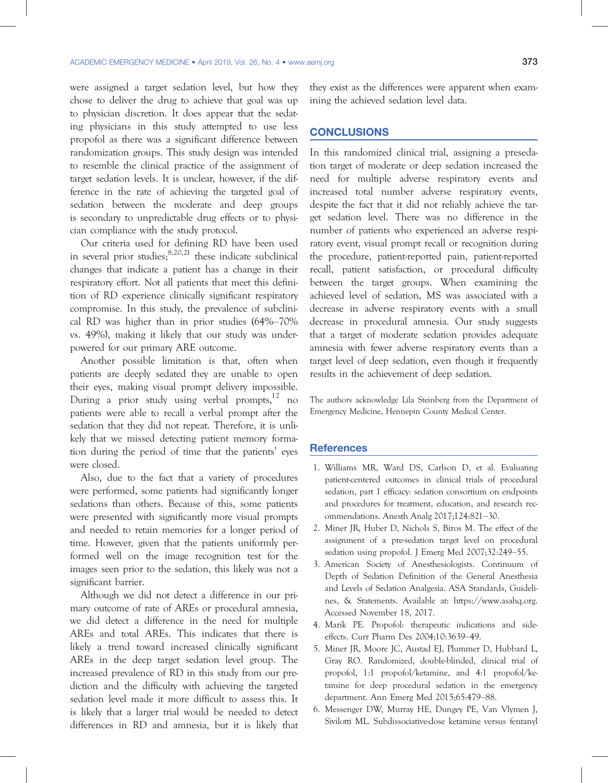were assigned a target sedation level, but how they chose to deliver the drug to achieve that goal was up to physician discretion. It does appear that the sedating physicians in this study attempted to use less propofol as there was a significant difference between randomization groups. This study design was intended to resemble the clinical practice of the assignment of target sedation levels. It is unclear, however, if the difference in the rate of achieving the targeted goal of sedation between the moderate and deep groups is secondary to unpredictable drug effects or to physician compliance with the study protocol.

Our criteria used for defining RD have been used in several prior studies;  $8,20,21$  these indicate subclinical changes that indicate a patient has a change in their respiratory effort. Not all patients that meet this definition of RD experience clinically significant respiratory compromise. In this study, the prevalence of subclinical RD was higher than in prior studies (64%–70% vs. 49%), making it likely that our study was underpowered for our primary ARE outcome.

Another possible limitation is that, often when patients are deeply sedated they are unable to open their eyes, making visual prompt delivery impossible. During a prior study using verbal prompts,<sup>12</sup> no patients were able to recall a verbal prompt after the sedation that they did not repeat. Therefore, it is unlikely that we missed detecting patient memory formation during the period of time that the patients' eyes were closed.

Also, due to the fact that a variety of procedures were performed, some patients had significantly longer sedations than others. Because of this, some patients were presented with significantly more visual prompts and needed to retain memories for a longer period of time. However, given that the patients uniformly performed well on the image recognition test for the images seen prior to the sedation, this likely was not a significant barrier.

Although we did not detect a difference in our primary outcome of rate of AREs or procedural amnesia, we did detect a difference in the need for multiple AREs and total AREs. This indicates that there is likely a trend toward increased clinically significant AREs in the deep target sedation level group. The increased prevalence of RD in this study from our prediction and the difficulty with achieving the targeted sedation level made it more difficult to assess this. It is likely that a larger trial would be needed to detect differences in RD and amnesia, but it is likely that they exist as the differences were apparent when examining the achieved sedation level data.

#### **CONCLUSIONS**

In this randomized clinical trial, assigning a presedation target of moderate or deep sedation increased the need for multiple adverse respiratory events and increased total number adverse respiratory events, despite the fact that it did not reliably achieve the target sedation level. There was no difference in the number of patients who experienced an adverse respiratory event, visual prompt recall or recognition during the procedure, patient-reported pain, patient-reported recall, patient satisfaction, or procedural difficulty between the target groups. When examining the achieved level of sedation, MS was associated with a decrease in adverse respiratory events with a small decrease in procedural amnesia. Our study suggests that a target of moderate sedation provides adequate amnesia with fewer adverse respiratory events than a target level of deep sedation, even though it frequently results in the achievement of deep sedation.

The authors acknowledge Lila Steinberg from the Department of Emergency Medicine, Hennepin County Medical Center.

#### References

- 1. Williams MR, Ward DS, Carlson D, et al. Evaluating patient-centered outcomes in clinical trials of procedural sedation, part 1 efficacy: sedation consortium on endpoints and procedures for treatment, education, and research recommendations. Anesth Analg 2017;124:821–30.
- 2. Miner JR, Huber D, Nichols S, Biros M. The effect of the assignment of a pre-sedation target level on procedural sedation using propofol. J Emerg Med 2007;32:249–55.
- 3. American Society of Anesthesiologists. Continuum of Depth of Sedation Definition of the General Anesthesia and Levels of Sedation Analgesia. ASA Standards, Guidelines, & Statements. Available at: https://www.asahq.org. Accessed November 18, 2017.
- 4. Marik PE. Propofol: therapeutic indications and sideeffects. Curr Pharm Des 2004;10:3639–49.
- 5. Miner JR, Moore JC, Austad EJ, Plummer D, Hubbard L, Gray RO. Randomized, double-blinded, clinical trial of propofol, 1:1 propofol/ketamine, and 4:1 propofol/ketamine for deep procedural sedation in the emergency department. Ann Emerg Med 2015;65:479–88.
- 6. Messenger DW, Murray HE, Dungey PE, Van Vlymen J, Sivilotti ML. Subdissociative-dose ketamine versus fentanyl